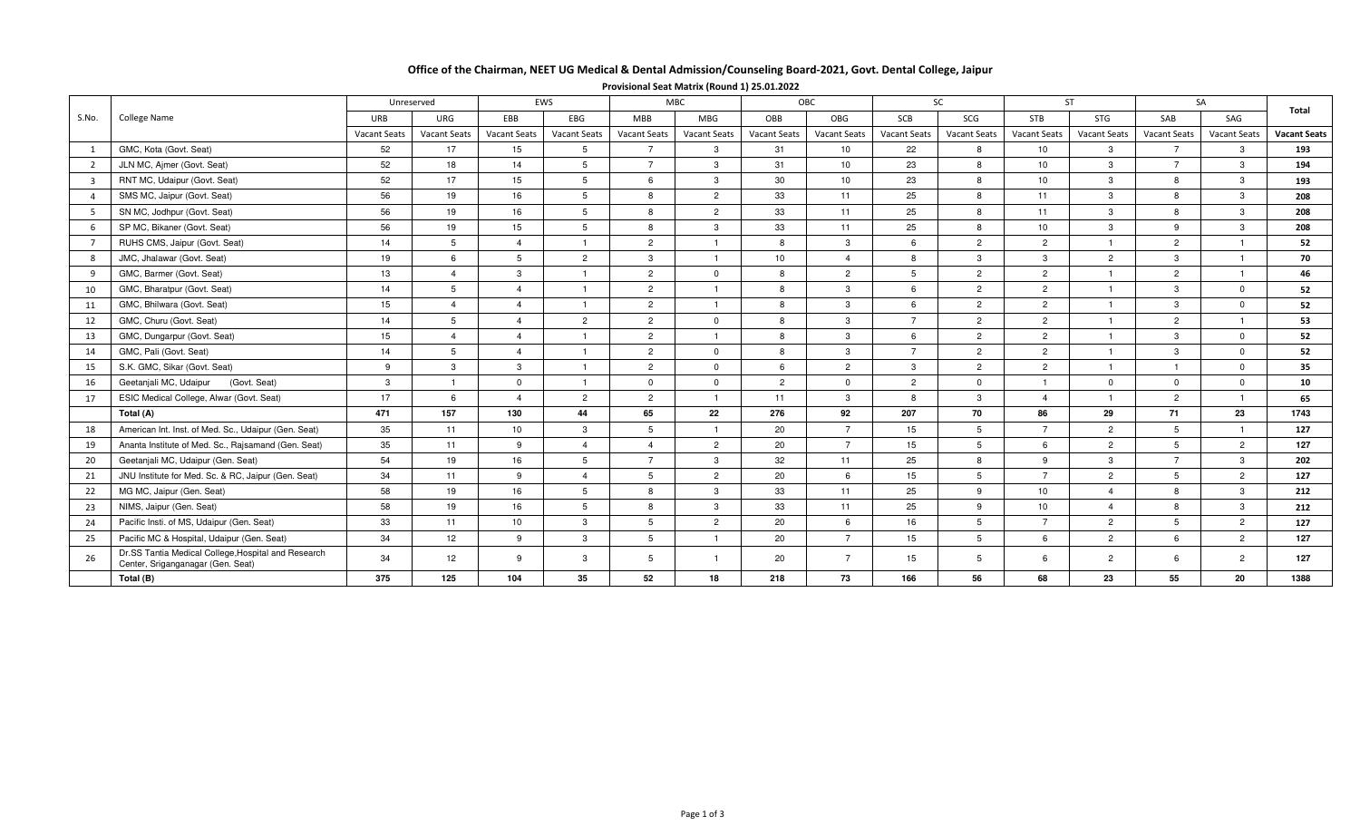## Office of the Chairman, NEET UG Medical & Dental Admission/Counseling Board-2021, Govt. Dental College, Jaipur

| S.No.                   | <b>College Name</b>                                                                      | Unreserved          |                     |                     | EWS                     |                 | <b>MBC</b>          |                     | OBC                 |                     | <b>SC</b>      |                        | <b>ST</b>      |                     | SA                  |                     |
|-------------------------|------------------------------------------------------------------------------------------|---------------------|---------------------|---------------------|-------------------------|-----------------|---------------------|---------------------|---------------------|---------------------|----------------|------------------------|----------------|---------------------|---------------------|---------------------|
|                         |                                                                                          | URB                 | <b>URG</b>          | EBB                 | EBG                     | <b>MBB</b>      | <b>MBG</b>          | OBB                 | OBG                 | SCB                 | SCG            | <b>STB</b>             | <b>STG</b>     | SAB                 | SAG                 | Total               |
|                         |                                                                                          | <b>Vacant Seats</b> | <b>Vacant Seats</b> | <b>Vacant Seats</b> | Vacant Seats            | Vacant Seats    | <b>Vacant Seats</b> | <b>Vacant Seats</b> | <b>Vacant Seats</b> | <b>Vacant Seats</b> | Vacant Seats   | <b>Vacant Seats</b>    | Vacant Seats   | <b>Vacant Seats</b> | <b>Vacant Seats</b> | <b>Vacant Seats</b> |
|                         | GMC, Kota (Govt. Seat)                                                                   | 52                  | 17                  | 15                  | 5                       | $\overline{7}$  | $\mathbf{3}$        | 31                  | 10 <sup>1</sup>     | 22                  | 8              | 10 <sup>1</sup>        | $\mathbf{3}$   | $\overline{7}$      | 3                   | 193                 |
| $\overline{2}$          | JLN MC, Ajmer (Govt. Seat)                                                               | 52                  | 18                  | 14                  | 5                       | $\overline{7}$  | $\mathbf{3}$        | 31                  | 10                  | 23                  | 8              | 10                     | $\mathbf{3}$   | $\overline{7}$      | 3                   | 194                 |
| $\overline{\mathbf{3}}$ | RNT MC, Udaipur (Govt. Seat)                                                             | 52                  | 17                  | 15                  | 5                       | 6               | $\mathbf{3}$        | 30                  | 10                  | 23                  | 8              | 10                     | $\mathbf{3}$   | 8                   | 3                   | 193                 |
| $\overline{a}$          | SMS MC, Jaipur (Govt. Seat)                                                              | 56                  | 19                  | 16                  | 5                       | 8               | $\overline{2}$      | 33                  | 11                  | 25                  | 8              | 11                     | $\mathbf{3}$   | 8                   | 3                   | 208                 |
| - 5                     | SN MC, Jodhpur (Govt. Seat)                                                              | 56                  | 19                  | 16                  | 5                       | 8               | $\overline{2}$      | 33                  | 11                  | 25                  | 8              | 11                     | $\mathbf{3}$   | 8                   | 3                   | 208                 |
|                         | SP MC, Bikaner (Govt. Seat)                                                              | 56                  | 19                  | 15                  | 5                       | 8               | $\mathbf{3}$        | 33                  | 11                  | 25                  | 8              | 10                     | $\mathbf{3}$   | 9                   | 3                   | 208                 |
| $\overline{7}$          | RUHS CMS, Jaipur (Govt. Seat)                                                            | 14                  | 5                   | $\overline{4}$      | $\overline{1}$          | $\overline{2}$  | $\mathbf{1}$        | 8                   | $\mathbf{3}$        | 6                   | $\overline{2}$ | $\mathbf{2}$           |                | $\overline{2}$      | $\overline{1}$      | 52                  |
| 8                       | JMC, Jhalawar (Govt. Seat)                                                               | 19                  | 6                   | 5                   | $\overline{2}$          | 3 <sup>3</sup>  | $\mathbf{1}$        | 10                  | $\overline{4}$      | 8                   | 3              | $\mathbf{3}$           | $\overline{2}$ | 3                   | $\overline{1}$      | 70                  |
| 9                       | GMC, Barmer (Govt. Seat)                                                                 | 13                  | $\overline{4}$      | 3                   | $\overline{\mathbf{1}}$ | $\overline{2}$  | $\overline{0}$      | 8                   | $\overline{2}$      | 5                   | $\overline{2}$ | $\overline{2}$         |                | $\overline{2}$      | $\overline{1}$      | 46                  |
| 10                      | GMC, Bharatpur (Govt. Seat)                                                              | 14                  | 5                   | $\overline{4}$      | $\overline{\mathbf{1}}$ | $\overline{2}$  | $\mathbf{1}$        | 8                   | 3                   | 6                   | $\overline{2}$ | $\overline{2}$         |                | 3                   | $\Omega$            | 52                  |
| 11                      | GMC, Bhilwara (Govt. Seat)                                                               | 15                  | $\overline{4}$      | $\overline{4}$      | $\overline{1}$          | $\overline{2}$  | $\mathbf{1}$        | 8                   | 3                   | 6                   | $\overline{2}$ | $\overline{2}$         |                | 3                   | $\mathbf{0}$        | 52                  |
| 12                      | GMC, Churu (Govt. Seat)                                                                  | 14                  | $5\phantom{.0}$     | $\overline{4}$      | $\overline{2}$          | $\overline{2}$  | $\mathbf{0}$        | 8                   | $\mathbf{3}$        | $\overline{7}$      | $\overline{2}$ | $\overline{2}$         |                | $\overline{2}$      | -1                  | 53                  |
| 13                      | GMC, Dungarpur (Govt. Seat)                                                              | 15                  | $\overline{4}$      | $\overline{4}$      | $\overline{1}$          | $\overline{2}$  | $\mathbf{1}$        | 8                   | 3                   | 6                   | $\overline{2}$ | $\overline{2}$         |                | 3                   | $\mathbf{0}$        | 52                  |
| 14                      | GMC, Pali (Govt. Seat)                                                                   | 14                  | 5                   | $\overline{4}$      |                         | $\overline{2}$  | $\mathbf 0$         | 8                   | 3                   | $\overline{7}$      | $\overline{2}$ | $\overline{2}$         |                | 3                   | $\mathbf{0}$        | 52                  |
| 15                      | S.K. GMC, Sikar (Govt. Seat)                                                             | 9                   | $\mathbf{3}$        | 3                   | $\overline{1}$          | $\overline{2}$  | $\mathbf 0$         | $6\overline{6}$     | $\overline{2}$      | $\mathbf{3}$        | $2^{\circ}$    | $2^{\circ}$            |                |                     | $\mathbf{0}$        | 35                  |
| 16                      | Geetanjali MC, Udaipur<br>(Govt. Seat)                                                   | $\mathbf{3}$        | $\mathbf{1}$        | $\mathbf 0$         | -1                      | $\overline{0}$  | $\overline{0}$      | $\overline{2}$      | $\mathbf 0$         | $\overline{2}$      | $\mathbf{0}$   |                        | $\mathbf{0}$   | $\mathbf{0}$        | $\mathbf{0}$        | 10                  |
| 17                      | ESIC Medical College, Alwar (Govt. Seat)                                                 | 17                  | 6                   | $\overline{4}$      | $\overline{2}$          | $\overline{2}$  | $\mathbf{1}$        | 11                  | 3                   | 8                   | 3              | $\boldsymbol{\Lambda}$ |                | 2                   | $\overline{1}$      | 65                  |
|                         | Total (A)                                                                                | 471                 | 157                 | 130                 | 44                      | 65              | 22                  | 276                 | 92                  | 207                 | 70             | 86                     | 29             | 71                  | 23                  | 1743                |
| 18                      | American Int. Inst. of Med. Sc., Udaipur (Gen. Seat)                                     | 35                  | 11                  | 10                  | 3                       | 5               | $\mathbf{1}$        | 20                  | $\overline{7}$      | 15                  | 5              | $\overline{7}$         | $\overline{2}$ | 5                   | -1                  | 127                 |
| 19                      | Ananta Institute of Med. Sc., Rajsamand (Gen. Seat)                                      | 35                  | 11                  | 9                   | $\overline{4}$          | $\overline{4}$  | $\overline{2}$      | 20                  | $\overline{7}$      | 15                  | 5              | 6                      | $\overline{2}$ | 5                   | $\overline{2}$      | 127                 |
| 20                      | Geetanjali MC, Udaipur (Gen. Seat)                                                       | 54                  | 19                  | 16                  | 5                       | $\overline{7}$  | $\mathbf{3}$        | 32                  | 11                  | 25                  | 8              | 9                      | $\mathbf{3}$   | $\overline{7}$      | $\mathbf{3}$        | 202                 |
| 21                      | JNU Institute for Med. Sc. & RC, Jaipur (Gen. Seat)                                      | 34                  | 11                  | 9                   | $\overline{4}$          | $5\phantom{.0}$ | $\overline{2}$      | 20                  | -6                  | 15                  | 5              | $\overline{7}$         | $\overline{2}$ | -5                  | $\overline{2}$      | 127                 |
| 22                      | MG MC, Jaipur (Gen. Seat)                                                                | 58                  | 19                  | 16                  | 5                       | 8               | $\mathbf{3}$        | 33                  | 11                  | 25                  | 9              | 10 <sup>1</sup>        | $\overline{4}$ | 8                   | 3                   | 212                 |
| 23                      | NIMS, Jaipur (Gen. Seat)                                                                 | 58                  | 19                  | 16                  | 5 <sup>5</sup>          | 8               | $\mathbf{3}$        | 33                  | 11                  | 25                  | 9              | 10                     | $\overline{4}$ | 8                   | 3                   | 212                 |
| 24                      | Pacific Insti. of MS, Udaipur (Gen. Seat)                                                | 33                  | 11                  | 10                  | 3                       | $5\overline{5}$ | $\overline{2}$      | 20                  | 6                   | 16                  | 5 <sup>5</sup> | $\overline{7}$         | 2              | 5                   | $\overline{2}$      | 127                 |
| 25                      | Pacific MC & Hospital, Udaipur (Gen. Seat)                                               | 34                  | 12                  | 9                   | $\mathbf{3}$            | $5\overline{)}$ | $\mathbf{1}$        | 20                  | $\overline{7}$      | 15                  | 5              | 6                      | $\overline{2}$ | 6                   | $\overline{2}$      | 127                 |
| 26                      | Dr.SS Tantia Medical College, Hospital and Research<br>Center, Sriganganagar (Gen. Seat) | 34                  | 12                  | 9                   | 3                       | 5               | $\mathbf{1}$        | 20                  | $\overline{7}$      | 15                  | $5^{\circ}$    | 6                      | $\overline{2}$ | 6                   | $\overline{2}$      | 127                 |
|                         | Total (B)                                                                                | 375                 | 125                 | 104                 | 35                      | 52              | 18                  | 218                 | 73                  | 166                 | 56             | 68                     | 23             | 55                  | 20                  | 1388                |

Provisional Seat Matrix (Round 1) 25.01.2022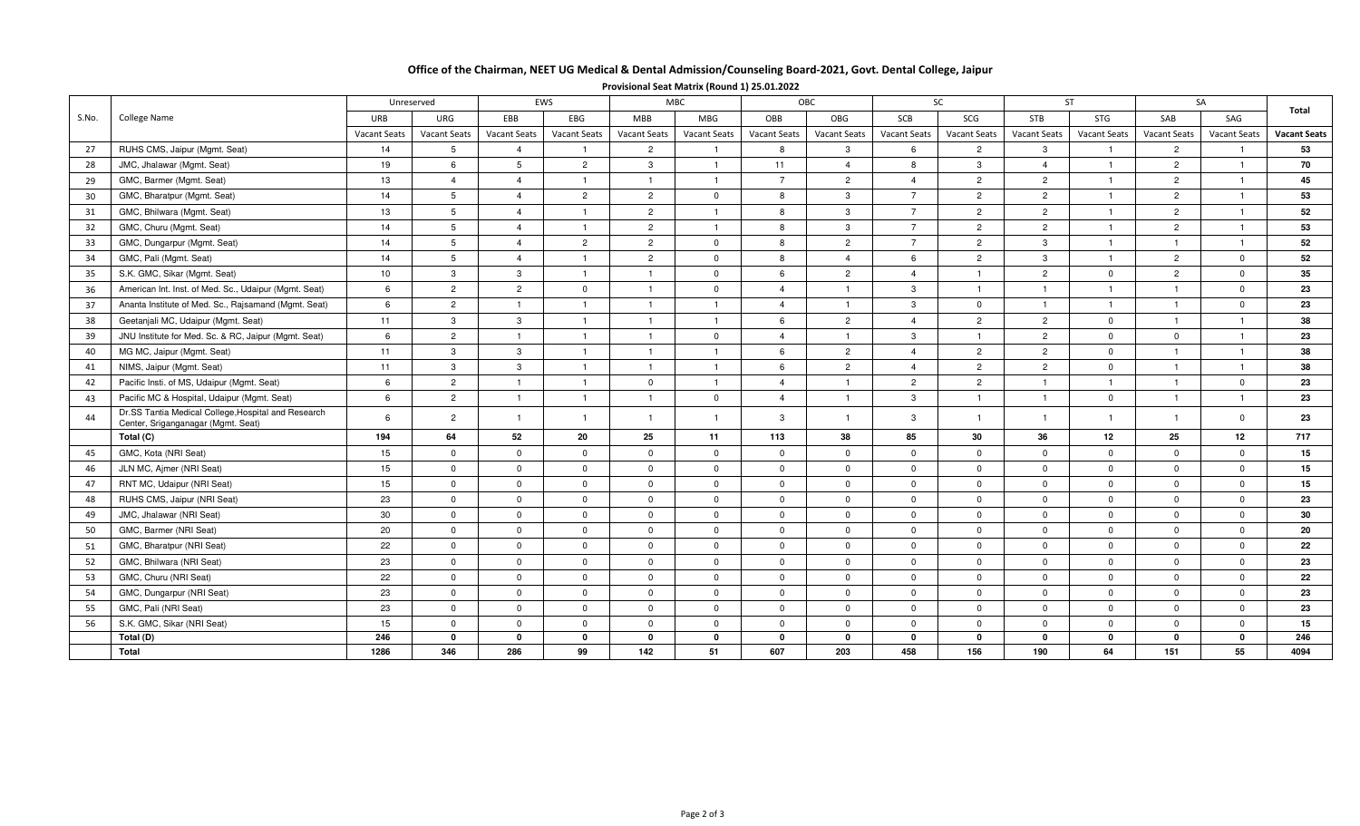## Office of the Chairman, NEET UG Medical & Dental Admission/Counseling Board-2021, Govt. Dental College, Jaipur

|       | College Name                                          | EWS<br>Unreserved   |                     | MBC            |                | <b>OBC</b>          |                     | SC.            |                | ST.                      |                | SA             |                     | Total               |              |                     |
|-------|-------------------------------------------------------|---------------------|---------------------|----------------|----------------|---------------------|---------------------|----------------|----------------|--------------------------|----------------|----------------|---------------------|---------------------|--------------|---------------------|
| S.No. |                                                       | <b>URB</b>          | URG                 | EBB            | EBG            | <b>MBB</b>          | MBG                 | OBB            | OBG            | SCB                      | SCG            | <b>STB</b>     | STG                 | SAB                 | SAG          |                     |
|       |                                                       | <b>Vacant Seats</b> | <b>Vacant Seats</b> | Vacant Seats   | Vacant Seats   | <b>Vacant Seats</b> | <b>Vacant Seats</b> | Vacant Seats   | Vacant Seats   | <b>Vacant Seats</b>      | Vacant Seats   | Vacant Seats   | <b>Vacant Seats</b> | <b>Vacant Seats</b> | Vacant Seats | <b>Vacant Seats</b> |
| 27    | RUHS CMS, Jaipur (Mgmt. Seat)                         | 14                  |                     |                |                | $\overline{2}$      |                     | 8              | 3              | 6                        | $\overline{2}$ |                |                     | $\overline{2}$      |              | 53                  |
| 28    | JMC, Jhalawar (Mgmt. Seat)                            | 19                  | 6                   | 5              | $\overline{2}$ | $\mathbf{3}$        |                     | 11             |                | 8                        | 3              |                |                     | 2                   |              | 70                  |
| 29    | GMC, Barmer (Mgmt. Seat)                              | 13                  |                     |                |                |                     |                     | $\overline{7}$ | 2              |                          | $\overline{2}$ | $\overline{2}$ |                     | $\overline{2}$      |              | 45                  |
| 30    | GMC, Bharatpur (Mgmt. Seat)                           | 14                  | -23                 |                | $\mathfrak{p}$ | $\overline{2}$      | $\Omega$            | 8              | 3              | $\rightarrow$            | $\overline{2}$ | $\overline{2}$ |                     | $\overline{2}$      |              | 53                  |
| 31    | GMC, Bhilwara (Mgmt. Seat)                            | 13                  |                     |                |                | $\overline{2}$      |                     | 8              | 3              | $\rightarrow$            | $\overline{2}$ | $\overline{2}$ |                     |                     |              | 52                  |
| 32    | GMC, Churu (Mgmt. Seat)                               | 14                  |                     |                |                | $\overline{2}$      |                     | 8              | 3              | $\overline{\phantom{a}}$ | $\overline{2}$ | $\overline{2}$ |                     |                     |              | 53                  |
| 33    | GMC, Dungarpur (Mgmt. Seat)                           | 14                  | 5                   |                | $\overline{2}$ | $\overline{2}$      | $\Omega$            | 8              | $\overline{2}$ | $\overline{ }$           | $\overline{2}$ | 3              |                     |                     |              | 52                  |
| 34    | GMC, Pali (Mgmt. Seat)                                | 14                  |                     |                |                | $\overline{2}$      | $\mathbf{0}$        | 8              |                | 6                        | $\overline{2}$ | 3              |                     | 2                   | $\Omega$     | 52                  |
| 35    | S.K. GMC, Sikar (Mgmt. Seat)                          | 10                  | 3                   | 3              |                |                     | $\mathbf{0}$        | 6              | $\overline{2}$ |                          |                | $\overline{2}$ | $\Omega$            | $\overline{2}$      | $\mathbf 0$  | 35                  |
| 36    | American Int. Inst. of Med. Sc., Udaipur (Mgmt. Seat) | 6                   | $\overline{2}$      | $\overline{2}$ | ŋ              |                     | $\Omega$            | Δ              |                | $\mathcal{B}$            |                |                |                     |                     | $\Omega$     | 23                  |
| 37    | Ananta Institute of Med. Sc., Rajsamand (Mgmt. Seat)  | -6                  | $\overline{2}$      |                |                |                     |                     | Δ              |                | 3                        | $\Omega$       |                |                     |                     | $\Omega$     | 23                  |
| 38    | Geetanjali MC, Udaipur (Mgmt. Seat)                   | 11                  | 3                   | 3              |                |                     |                     | 6              | $\overline{2}$ |                          | $\overline{2}$ | $\overline{2}$ | $\Omega$            |                     |              | 38                  |
| 39    | JNU Institute for Med. Sc. & RC, Jaipur (Mgmt. Seat)  | -6                  | $\overline{2}$      |                |                |                     | $\mathbf{0}$        | Δ              |                | $\mathcal{R}$            |                | $\overline{2}$ | $\Omega$            |                     |              | 23                  |
| 40    | MG MC, Jaipur (Mgmt. Seat)                            | 11                  | 3                   | 3              |                |                     |                     | 6              | $\overline{2}$ |                          | $\overline{2}$ | $\overline{2}$ | $\Omega$            |                     |              | 38                  |
| 41    | NIMS, Jaipur (Mgmt. Seat)                             | 11                  | 3                   | 3              |                |                     |                     | 6              | $\overline{2}$ |                          | $\overline{2}$ | $\overline{2}$ | $\Omega$            |                     |              | 38                  |
| 42    | Pacific Insti. of MS, Udaipur (Mgmt. Seat)            | 6                   | $\mathcal{P}$       |                |                | $\Omega$            |                     |                |                | 2                        | $\mathcal{P}$  |                |                     |                     | $\Omega$     | 23                  |

Pacific MC & Hospital, Udaipur (Mgmt. Seat) <sup>6</sup> <sup>2</sup> <sup>1</sup> <sup>1</sup> <sup>1</sup> <sup>0</sup> <sup>4</sup> <sup>1</sup> <sup>3</sup> <sup>1</sup> <sup>1</sup> <sup>0</sup> <sup>1</sup> <sup>1</sup> **<sup>23</sup>**

GMC, Kota (NRI Seat) <sup>15</sup> <sup>0</sup> <sup>0</sup> <sup>0</sup> <sup>0</sup> <sup>0</sup> <sup>0</sup> <sup>0</sup> <sup>0</sup> <sup>0</sup> <sup>0</sup> <sup>0</sup> <sup>0</sup> <sup>0</sup> **<sup>15</sup>**

JLN MC, Ajmer (NRI Seat) <sup>15</sup> <sup>0</sup> <sup>0</sup> <sup>0</sup> <sup>0</sup> <sup>0</sup> <sup>0</sup> <sup>0</sup> <sup>0</sup> <sup>0</sup> <sup>0</sup> <sup>0</sup> <sup>0</sup> <sup>0</sup> **<sup>15</sup>**

RNT MC, Udaipur (NRI Seat) <sup>15</sup> <sup>0</sup> <sup>0</sup> <sup>0</sup> <sup>0</sup> <sup>0</sup> <sup>0</sup> <sup>0</sup> <sup>0</sup> <sup>0</sup> <sup>0</sup> <sup>0</sup> <sup>0</sup> <sup>0</sup> **<sup>15</sup>**

RUHS CMS, Jaipur (NRI Seat) <sup>23</sup> <sup>0</sup> <sup>0</sup> <sup>0</sup> <sup>0</sup> <sup>0</sup> <sup>0</sup> <sup>0</sup> <sup>0</sup> <sup>0</sup> <sup>0</sup> <sup>0</sup> <sup>0</sup> <sup>0</sup> **<sup>23</sup>**

JMC, Jhalawar (NRI Seat) <sup>30</sup> <sup>0</sup> <sup>0</sup> <sup>0</sup> <sup>0</sup> <sup>0</sup> <sup>0</sup> <sup>0</sup> <sup>0</sup> <sup>0</sup> <sup>0</sup> <sup>0</sup> <sup>0</sup> <sup>0</sup> **<sup>30</sup>**

GMC, Barmer (NRI Seat) <sup>20</sup> <sup>0</sup> <sup>0</sup> <sup>0</sup> <sup>0</sup> <sup>0</sup> <sup>0</sup> <sup>0</sup> <sup>0</sup> <sup>0</sup> <sup>0</sup> <sup>0</sup> <sup>0</sup> <sup>0</sup> **<sup>20</sup>**

GMC, Bharatpur (NRI Seat) <sup>22</sup> <sup>0</sup> <sup>0</sup> <sup>0</sup> <sup>0</sup> <sup>0</sup> <sup>0</sup> <sup>0</sup> <sup>0</sup> <sup>0</sup> <sup>0</sup> <sup>0</sup> <sup>0</sup> <sup>0</sup> **<sup>22</sup>**

GMC, Bhilwara (NRI Seat) <sup>23</sup> <sup>0</sup> <sup>0</sup> <sup>0</sup> <sup>0</sup> <sup>0</sup> <sup>0</sup> <sup>0</sup> <sup>0</sup> <sup>0</sup> <sup>0</sup> <sup>0</sup> <sup>0</sup> <sup>0</sup> **<sup>23</sup>**

GMC, Churu (NRI Seat) <sup>22</sup> <sup>0</sup> <sup>0</sup> <sup>0</sup> <sup>0</sup> <sup>0</sup> <sup>0</sup> <sup>0</sup> <sup>0</sup> <sup>0</sup> <sup>0</sup> <sup>0</sup> <sup>0</sup> <sup>0</sup> **<sup>22</sup>**

GMC, Dungarpur (NRI Seat) <sup>23</sup> <sup>0</sup> <sup>0</sup> <sup>0</sup> <sup>0</sup> <sup>0</sup> <sup>0</sup> <sup>0</sup> <sup>0</sup> <sup>0</sup> <sup>0</sup> <sup>0</sup> <sup>0</sup> <sup>0</sup> **<sup>23</sup>**

GMC, Pali (NRI Seat) <sup>23</sup> <sup>0</sup> <sup>0</sup> <sup>0</sup> <sup>0</sup> <sup>0</sup> <sup>0</sup> <sup>0</sup> <sup>0</sup> <sup>0</sup> <sup>0</sup> <sup>0</sup> <sup>0</sup> <sup>0</sup> **<sup>23</sup>**

S.K. GMC, Sikar (NRI Seat) <sup>15</sup> <sup>0</sup> <sup>0</sup> <sup>0</sup> <sup>0</sup> <sup>0</sup> <sup>0</sup> <sup>0</sup> <sup>0</sup> <sup>0</sup> <sup>0</sup> <sup>0</sup> <sup>0</sup> <sup>0</sup> **<sup>15</sup>**

**246 0 0 0 0 0 0 0 0 0 0 0 0 0 246**

l | 1286 | 346 | 286 | 99 | 142 | 51 | 607 | 203 | 458 | 156 | 190 | 64 | 151 | 55 | 4094

) | 194 | 64 | 52 | 20 | 25 | 11 | 113 | 38 | 85 | 30 | 36 | 12 | 25 | 12 | 717

<sup>6</sup> <sup>2</sup> <sup>1</sup> <sup>1</sup> <sup>1</sup> <sup>1</sup> <sup>3</sup> <sup>1</sup> <sup>3</sup> <sup>1</sup> <sup>1</sup> <sup>1</sup> <sup>1</sup> <sup>0</sup> **<sup>23</sup>**

 $15$ 

4094

Provisional Seat Matrix (Round 1) 25.01.2022

43

44

45

46

47

48

49

50

51

52

53

54

55

56

**Total (C)**

**Total (D)**

**Total**

Dr.SS Tantia Medical College,Hospital and Research Center, Sriganganagar (Mgmt. Seat)